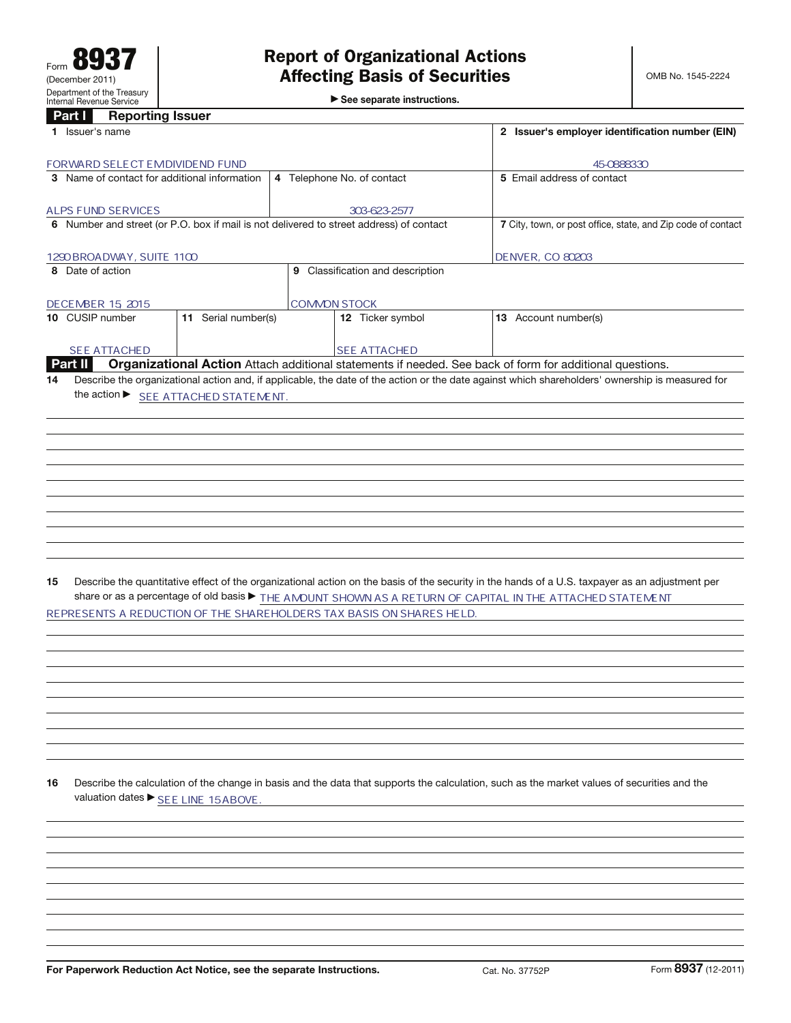$\blacktriangleright$  See separate instructions.

## Part **I** Reporting Issuer

| an<br><b>IDENAL INGLES</b>                                                                                                                            |                                                              |
|-------------------------------------------------------------------------------------------------------------------------------------------------------|--------------------------------------------------------------|
| 1 Issuer's name                                                                                                                                       | 2 Issuer's employer identification number (EIN)              |
| FORWARD SELECT EMDIVIDEND FUND                                                                                                                        | 45-0888330                                                   |
| 4 Telephone No. of contact<br>3 Name of contact for additional information                                                                            | 5 Email address of contact                                   |
|                                                                                                                                                       |                                                              |
| <b>ALPS FUND SERVICES</b><br>303-623-2577                                                                                                             |                                                              |
| 6 Number and street (or P.O. box if mail is not delivered to street address) of contact                                                               | 7 City, town, or post office, state, and Zip code of contact |
|                                                                                                                                                       |                                                              |
| 1290 BROADWAY, SUITE 1100<br>9 Classification and description<br>8 Date of action                                                                     | <b>DENVER, CO 80203</b>                                      |
|                                                                                                                                                       |                                                              |
| <b>COMMON STOCK</b><br>DECEMBER 15, 2015                                                                                                              |                                                              |
| 11 Serial number(s)<br>10 CUSIP number<br>12 Ticker symbol                                                                                            | 13 Account number(s)                                         |
|                                                                                                                                                       |                                                              |
| SEE ATTACHED<br><b>SEE ATTACHED</b>                                                                                                                   |                                                              |
| Organizational Action Attach additional statements if needed. See back of form for additional questions.<br><b>Part II</b>                            |                                                              |
| Describe the organizational action and, if applicable, the date of the action or the date against which shareholders' ownership is measured for<br>14 |                                                              |
| the action ▶ SEE ATTACHED STATEMENT.                                                                                                                  |                                                              |
|                                                                                                                                                       |                                                              |
|                                                                                                                                                       |                                                              |
|                                                                                                                                                       |                                                              |
|                                                                                                                                                       |                                                              |
|                                                                                                                                                       |                                                              |
|                                                                                                                                                       |                                                              |
|                                                                                                                                                       |                                                              |
|                                                                                                                                                       |                                                              |
|                                                                                                                                                       |                                                              |
|                                                                                                                                                       |                                                              |
|                                                                                                                                                       |                                                              |
| Describe the quantitative effect of the organizational action on the basis of the security in the hands of a U.S. taxpayer as an adjustment per<br>15 |                                                              |
| share or as a percentage of old basis > THE AMOUNT SHOWN AS A RETURN OF CAPITAL IN THE ATTACHED STATEMENT                                             |                                                              |
| REPRESENTS A REDUCTION OF THE SHAREHOLDERS TAX BASIS ON SHARES HELD.                                                                                  |                                                              |
|                                                                                                                                                       |                                                              |
|                                                                                                                                                       |                                                              |
|                                                                                                                                                       |                                                              |
|                                                                                                                                                       |                                                              |
|                                                                                                                                                       |                                                              |
|                                                                                                                                                       |                                                              |
|                                                                                                                                                       |                                                              |
|                                                                                                                                                       |                                                              |
|                                                                                                                                                       |                                                              |
|                                                                                                                                                       |                                                              |
| 16                                                                                                                                                    |                                                              |
| Describe the calculation of the change in basis and the data that supports the calculation, such as the market values of securities and the           |                                                              |
| valuation dates ▶ SEE LINE 15ABOVE.                                                                                                                   |                                                              |
|                                                                                                                                                       |                                                              |
|                                                                                                                                                       |                                                              |
|                                                                                                                                                       |                                                              |
|                                                                                                                                                       |                                                              |
|                                                                                                                                                       |                                                              |
|                                                                                                                                                       |                                                              |
|                                                                                                                                                       |                                                              |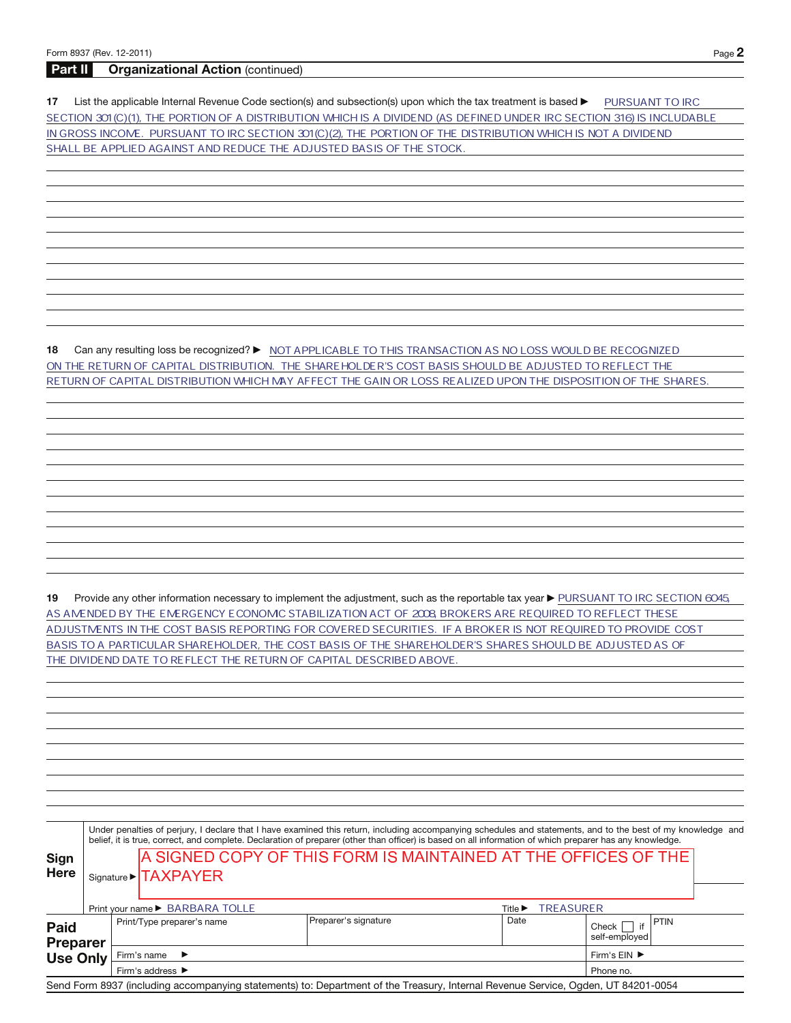## **Part II Organizational Action** (continued)

17 List the applicable Internal Revenue Code section(s) and subsection(s) upon which the tax treatment is based **DEP TO ANT TO IRC** SECTION 301(C)(1), THE PORTION OF A DISTRIBUTION WHICH IS A DIVIDEND (AS DEFINED UNDER IRC SECTION 316) IS INCLUDABLE IN GROSS INCOME. PURSUANT TO IRC SECTION 301 (C)(2), THE PORTION OF THE DISTRIBUTION WHICH IS NOT A DIVIDEND SHALL BE APPLIED AGAINST AND REDUCE THE ADJUSTED BASIS OF THE STOCK.

**18** Can any resulting loss be recognized? ▶ MOT APPLICABLE TO THIS TRANSACTION AS NO LOSS WOULD BE RECOGNIZED ON THE RETURN OF CAPITAL DISTRIBUTION. THE SHAREHOLDER'S COST BASIS SHOULD BE ADJUSTED TO REFLECT THE RETURN OF CAPITAL DISTRIBUTION WHICH MAY AFFECT THE GAIN OR LOSS REALIZED UPON THE DISPOSITION OF THE SHARES.

19 Provide any other information necessary to implement the adjustment, such as the reportable tax year ▶ PURSUANT TO IRC SECTION 6045 AS AMENDED BY THE EMERGENCY ECONOMIC STABILIZATION ACT OF 2008 BROKERS ARE REQUIRED TO REFLECT THESE ADJUSTMENTS IN THE COST BASIS REPORTING FOR COVERED SECURITIES. IF A BROKER IS NOT REQUIRED TO PROVIDE COST BASIS TO A PARTICULAR SHAREHOLDER, THE COST BASIS OF THE SHAREHOLDER'S SHARES SHOULD BE ADJUSTED AS OF THE DIVIDEND DATE TO REFLECT THE RETURN OF CAPITAL DESCRIBED ABOVE.

|                                | Under penalties of perjury, I declare that I have examined this return, including accompanying schedules and statements, and to the best of my knowledge and<br>belief, it is true, correct, and complete. Declaration of preparer (other than officer) is based on all information of which preparer has any knowledge. |  |                                                                |                      |                                                 |                                       |  |  |  |  |  |  |
|--------------------------------|--------------------------------------------------------------------------------------------------------------------------------------------------------------------------------------------------------------------------------------------------------------------------------------------------------------------------|--|----------------------------------------------------------------|----------------------|-------------------------------------------------|---------------------------------------|--|--|--|--|--|--|
| Sign                           |                                                                                                                                                                                                                                                                                                                          |  | A SIGNED COPY OF THIS FORM IS MAINTAINED AT THE OFFICES OF THE |                      |                                                 |                                       |  |  |  |  |  |  |
| <b>Here</b>                    |                                                                                                                                                                                                                                                                                                                          |  | Signature > TAXPAYER                                           |                      |                                                 |                                       |  |  |  |  |  |  |
|                                |                                                                                                                                                                                                                                                                                                                          |  |                                                                |                      |                                                 |                                       |  |  |  |  |  |  |
|                                |                                                                                                                                                                                                                                                                                                                          |  | Print your name ▶ BARBARA TOLLE                                |                      | <b>TREASURER</b><br>Title $\blacktriangleright$ |                                       |  |  |  |  |  |  |
| <b>Paid</b><br><b>Preparer</b> |                                                                                                                                                                                                                                                                                                                          |  | Print/Type preparer's name                                     | Preparer's signature | Date                                            | <b>PTIN</b><br>Check<br>self-employed |  |  |  |  |  |  |
| <b>Use Only</b>                |                                                                                                                                                                                                                                                                                                                          |  | Firm's name $\blacktriangleright$                              |                      |                                                 |                                       |  |  |  |  |  |  |
|                                |                                                                                                                                                                                                                                                                                                                          |  | Firm's address ▶                                               | Phone no.            |                                                 |                                       |  |  |  |  |  |  |

Send Form 8937 (including accompanying statements) to: Department of the Treasury, Internal Revenue Service, Ogden, UT 84201-0054